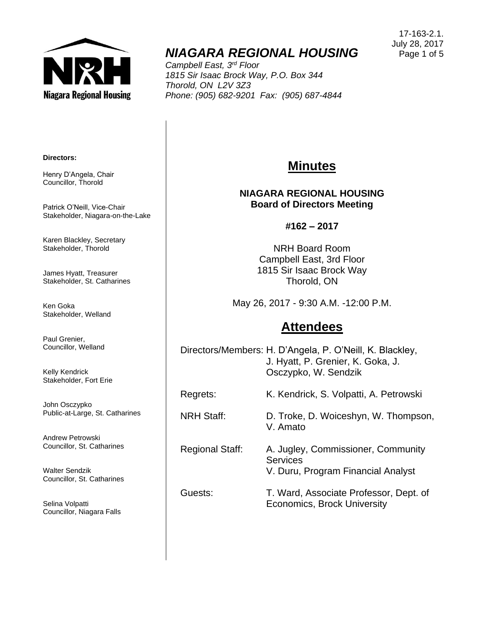

# *NIAGARA REGIONAL HOUSING*

*Campbell East, 3rd Floor 1815 Sir Isaac Brock Way, P.O. Box 344 Thorold, ON L2V 3Z3 Phone: (905) 682-9201 Fax: (905) 687-4844*

17-163-2.1. July 28, 2017 Page 1 of 5

#### **Directors:**

Henry D'Angela, Chair Councillor, Thorold

Patrick O'Neill, Vice-Chair Stakeholder, Niagara-on-the-Lake

Karen Blackley, Secretary Stakeholder, Thorold

James Hyatt, Treasurer Stakeholder, St. Catharines

Ken Goka Stakeholder, Welland

Paul Grenier, Councillor, Welland

Kelly Kendrick Stakeholder, Fort Erie

John Osczypko Public-at-Large, St. Catharines

Andrew Petrowski Councillor, St. Catharines

Walter Sendzik Councillor, St. Catharines

Selina Volpatti Councillor, Niagara Falls

## **Minutes**

#### **NIAGARA REGIONAL HOUSING Board of Directors Meeting**

**#162 – 2017**

NRH Board Room Campbell East, 3rd Floor 1815 Sir Isaac Brock Way Thorold, ON

May 26, 2017 - 9:30 A.M. -12:00 P.M.

## **Attendees**

Directors/Members: H. D'Angela, P. O'Neill, K. Blackley, J. Hyatt, P. Grenier, K. Goka, J. Osczypko, W. Sendzik

Regrets: K. Kendrick, S. Volpatti, A. Petrowski

NRH Staff: D. Troke, D. Woiceshyn, W. Thompson, V. Amato

Regional Staff: A. Jugley, Commissioner, Community **Services** V. Duru, Program Financial Analyst

Guests: T. Ward, Associate Professor, Dept. of Economics, Brock University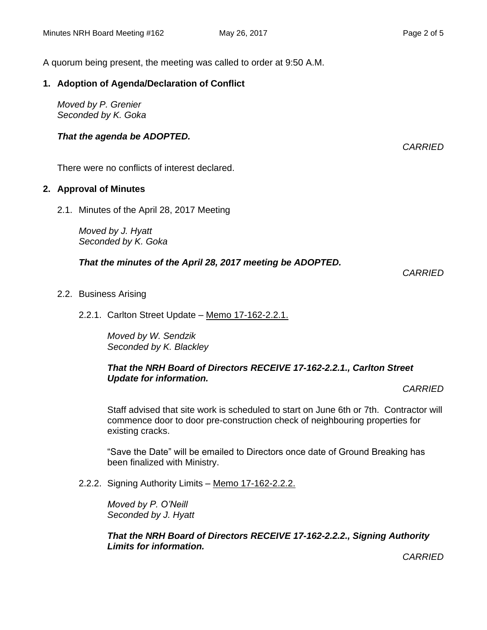A quorum being present, the meeting was called to order at 9:50 A.M.

#### **1. Adoption of Agenda/Declaration of Conflict**

*Moved by P. Grenier Seconded by K. Goka*

#### *That the agenda be ADOPTED.*

*CARRIED*

There were no conflicts of interest declared.

#### **2. Approval of Minutes**

2.1. Minutes of the April 28, 2017 Meeting

*Moved by J. Hyatt Seconded by K. Goka*

#### *That the minutes of the April 28, 2017 meeting be ADOPTED.*

*CARRIED*

2.2. Business Arising

#### 2.2.1. Carlton Street Update – Memo 17-162-2.2.1.

*Moved by W. Sendzik Seconded by K. Blackley*

#### *That the NRH Board of Directors RECEIVE 17-162-2.2.1., Carlton Street Update for information.*

*CARRIED*

Staff advised that site work is scheduled to start on June 6th or 7th. Contractor will commence door to door pre-construction check of neighbouring properties for existing cracks.

"Save the Date" will be emailed to Directors once date of Ground Breaking has been finalized with Ministry.

2.2.2. Signing Authority Limits – Memo 17-162-2.2.2.

*Moved by P. O'Neill Seconded by J. Hyatt*

*That the NRH Board of Directors RECEIVE 17-162-2.2.2., Signing Authority Limits for information.*

*CARRIED*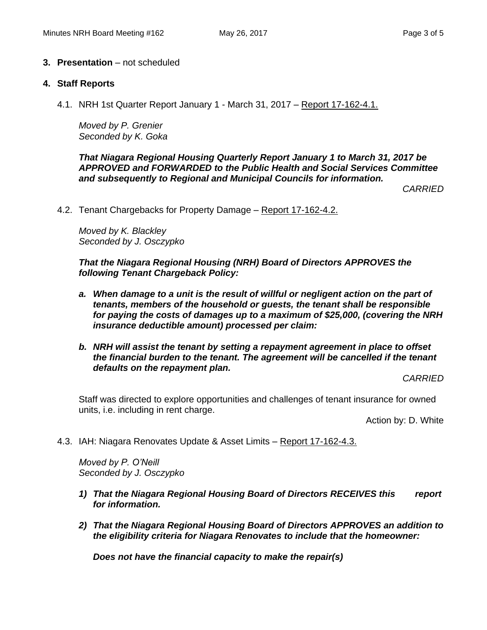#### **3. Presentation** – not scheduled

#### **4. Staff Reports**

4.1. NRH 1st Quarter Report January 1 - March 31, 2017 – Report 17-162-4.1.

*Moved by P. Grenier Seconded by K. Goka*

*That Niagara Regional Housing Quarterly Report January 1 to March 31, 2017 be APPROVED and FORWARDED to the Public Health and Social Services Committee and subsequently to Regional and Municipal Councils for information.*

*CARRIED*

4.2. Tenant Chargebacks for Property Damage - Report 17-162-4.2.

*Moved by K. Blackley Seconded by J. Osczypko*

*That the Niagara Regional Housing (NRH) Board of Directors APPROVES the following Tenant Chargeback Policy:*

- *a. When damage to a unit is the result of willful or negligent action on the part of tenants, members of the household or guests, the tenant shall be responsible for paying the costs of damages up to a maximum of \$25,000, (covering the NRH insurance deductible amount) processed per claim:*
- *b. NRH will assist the tenant by setting a repayment agreement in place to offset the financial burden to the tenant. The agreement will be cancelled if the tenant defaults on the repayment plan.*

*CARRIED*

Staff was directed to explore opportunities and challenges of tenant insurance for owned units, i.e. including in rent charge.

Action by: D. White

4.3. IAH: Niagara Renovates Update & Asset Limits – Report 17-162-4.3.

*Moved by P. O'Neill Seconded by J. Osczypko*

- *1) That the Niagara Regional Housing Board of Directors RECEIVES this report for information.*
- *2) That the Niagara Regional Housing Board of Directors APPROVES an addition to the eligibility criteria for Niagara Renovates to include that the homeowner:*

*Does not have the financial capacity to make the repair(s)*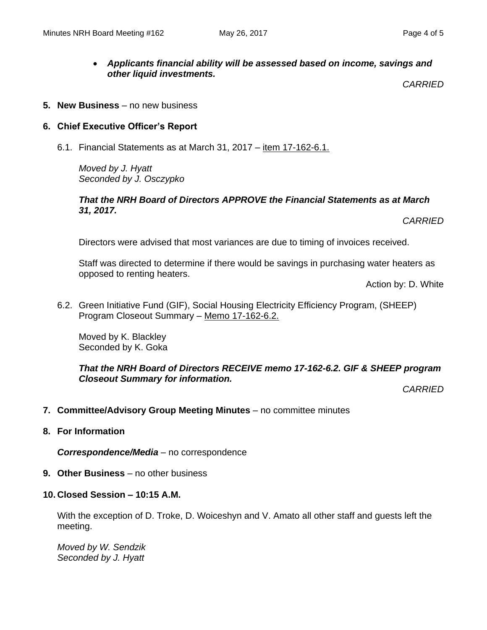### *Applicants financial ability will be assessed based on income, savings and other liquid investments.*

*CARRIED*

**5. New Business** – no new business

#### **6. Chief Executive Officer's Report**

6.1. Financial Statements as at March 31, 2017 – item 17-162-6.1.

*Moved by J. Hyatt Seconded by J. Osczypko*

#### *That the NRH Board of Directors APPROVE the Financial Statements as at March 31, 2017.*

*CARRIED*

Directors were advised that most variances are due to timing of invoices received.

Staff was directed to determine if there would be savings in purchasing water heaters as opposed to renting heaters.

Action by: D. White

6.2. Green Initiative Fund (GIF), Social Housing Electricity Efficiency Program, (SHEEP) Program Closeout Summary – Memo 17-162-6.2.

Moved by K. Blackley Seconded by K. Goka

*That the NRH Board of Directors RECEIVE memo 17-162-6.2. GIF & SHEEP program Closeout Summary for information.*

*CARRIED*

- **7. Committee/Advisory Group Meeting Minutes** no committee minutes
- **8. For Information**

*Correspondence/Media* – no correspondence

- **9. Other Business** no other business
- **10. Closed Session – 10:15 A.M.**

With the exception of D. Troke, D. Woiceshyn and V. Amato all other staff and guests left the meeting.

*Moved by W. Sendzik Seconded by J. Hyatt*